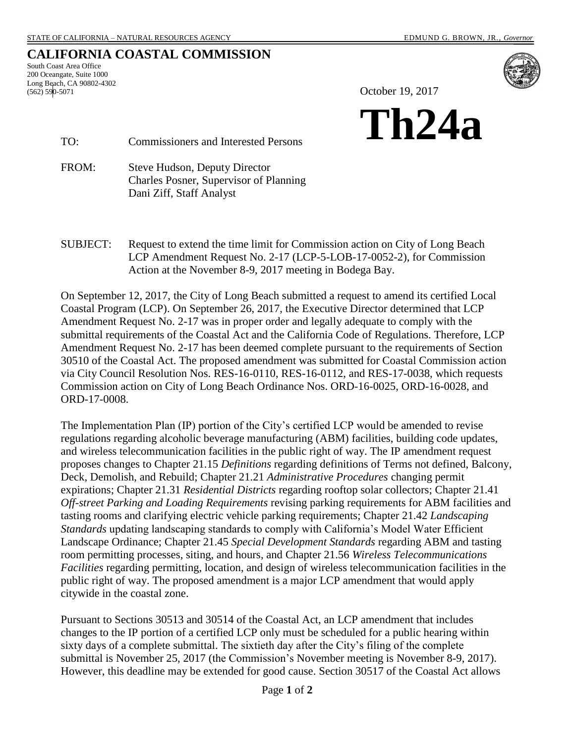## **CALIFORNIA COASTAL COMMISSION**

South Coast Area Office 200 Oceangate, Suite 1000 Long Beach, CA 90802-4302 (562) 590-5071



October 19, 2017



TO: Commissioners and Interested Persons

FROM: Steve Hudson, Deputy Director Charles Posner, Supervisor of Planning Dani Ziff, Staff Analyst

SUBJECT: Request to extend the time limit for Commission action on City of Long Beach LCP Amendment Request No. 2-17 (LCP-5-LOB-17-0052-2), for Commission Action at the November 8-9, 2017 meeting in Bodega Bay.

On September 12, 2017, the City of Long Beach submitted a request to amend its certified Local Coastal Program (LCP). On September 26, 2017, the Executive Director determined that LCP Amendment Request No. 2-17 was in proper order and legally adequate to comply with the submittal requirements of the Coastal Act and the California Code of Regulations. Therefore, LCP Amendment Request No. 2-17 has been deemed complete pursuant to the requirements of Section 30510 of the Coastal Act. The proposed amendment was submitted for Coastal Commission action via City Council Resolution Nos. RES-16-0110, RES-16-0112, and RES-17-0038, which requests Commission action on City of Long Beach Ordinance Nos. ORD-16-0025, ORD-16-0028, and ORD-17-0008.

The Implementation Plan (IP) portion of the City's certified LCP would be amended to revise regulations regarding alcoholic beverage manufacturing (ABM) facilities, building code updates, and wireless telecommunication facilities in the public right of way. The IP amendment request proposes changes to Chapter 21.15 *Definitions* regarding definitions of Terms not defined, Balcony, Deck, Demolish, and Rebuild; Chapter 21.21 *Administrative Procedures* changing permit expirations; Chapter 21.31 *Residential Districts* regarding rooftop solar collectors; Chapter 21.41 *Off-street Parking and Loading Requirements* revising parking requirements for ABM facilities and tasting rooms and clarifying electric vehicle parking requirements; Chapter 21.42 *Landscaping Standards* updating landscaping standards to comply with California's Model Water Efficient Landscape Ordinance; Chapter 21.45 *Special Development Standards* regarding ABM and tasting room permitting processes, siting, and hours, and Chapter 21.56 *Wireless Telecommunications Facilities* regarding permitting, location, and design of wireless telecommunication facilities in the public right of way. The proposed amendment is a major LCP amendment that would apply citywide in the coastal zone.

Pursuant to Sections 30513 and 30514 of the Coastal Act, an LCP amendment that includes changes to the IP portion of a certified LCP only must be scheduled for a public hearing within sixty days of a complete submittal. The sixtieth day after the City's filing of the complete submittal is November 25, 2017 (the Commission's November meeting is November 8-9, 2017). However, this deadline may be extended for good cause. Section 30517 of the Coastal Act allows